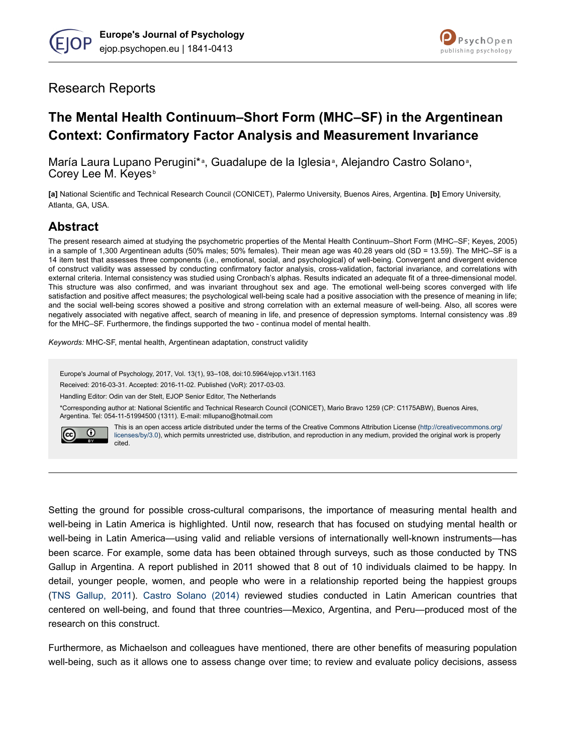



## Research Reports

# **The Mental Health Continuum–Short Form (MHC–SF) in the Argentinean Context: Confirmatory Factor Analysis and Measurement Invariance**

María Laura Lupano Perugini\*<sup>a</sup>, Guadalupe de la Iglesia<sup>a</sup>, Alejandro Castro Solano<sup>a</sup>, Corey Lee M. Keyes<sup>b</sup>

**[a]** National Scientific and Technical Research Council (CONICET), Palermo University, Buenos Aires, Argentina. **[b]** Emory University, Atlanta, GA, USA.

## **Abstract**

The present research aimed at studying the psychometric properties of the Mental Health Continuum–Short Form (MHC–SF; Keyes, 2005) in a sample of 1,300 Argentinean adults (50% males; 50% females). Their mean age was 40.28 years old (SD = 13.59). The MHC–SF is a 14 item test that assesses three components (i.e., emotional, social, and psychological) of well-being. Convergent and divergent evidence of construct validity was assessed by conducting confirmatory factor analysis, cross-validation, factorial invariance, and correlations with external criteria. Internal consistency was studied using Cronbach's alphas. Results indicated an adequate fit of a three-dimensional model. This structure was also confirmed, and was invariant throughout sex and age. The emotional well-being scores converged with life satisfaction and positive affect measures; the psychological well-being scale had a positive association with the presence of meaning in life; and the social well-being scores showed a positive and strong correlation with an external measure of well-being. Also, all scores were negatively associated with negative affect, search of meaning in life, and presence of depression symptoms. Internal consistency was .89 for the MHC–SF. Furthermore, the findings supported the two - continua model of mental health.

*Keywords:* MHC-SF, mental health, Argentinean adaptation, construct validity

Europe's Journal of Psychology, 2017, Vol. 13(1), 93–108, doi:10.5964/ejop.v13i1.1163

Received: 2016-03-31. Accepted: 2016-11-02. Published (VoR): 2017-03-03.

Handling Editor: Odin van der Stelt, EJOP Senior Editor, The Netherlands

\*Corresponding author at: National Scientific and Technical Research Council (CONICET), Mario Bravo 1259 (CP: C1175ABW), Buenos Aires, Argentina. Tel: 054-11-51994500 (1311). E-mail: mllupano@hotmail.com



This is an open access article distributed under the terms of the Creative Commons Attribution License [\(http://creativecommons.org/](http://creativecommons.org/licenses/by/3.0) [licenses/by/3.0\)](http://creativecommons.org/licenses/by/3.0), which permits unrestricted use, distribution, and reproduction in any medium, provided the original work is properly cited.

Setting the ground for possible cross-cultural comparisons, the importance of measuring mental health and well-being in Latin America is highlighted. Until now, research that has focused on studying mental health or well-being in Latin America—using valid and reliable versions of internationally well-known instruments—has been scarce. For example, some data has been obtained through surveys, such as those conducted by TNS Gallup in Argentina. A report published in 2011 showed that 8 out of 10 individuals claimed to be happy. In detail, younger people, women, and people who were in a relationship reported being the happiest groups [\(TNS Gallup, 2011\)](#page-15-0). [Castro Solano \(2014\)](#page-12-0) reviewed studies conducted in Latin American countries that centered on well-being, and found that three countries—Mexico, Argentina, and Peru—produced most of the research on this construct.

Furthermore, as Michaelson and colleagues have mentioned, there are other benefits of measuring population well-being, such as it allows one to assess change over time; to review and evaluate policy decisions, assess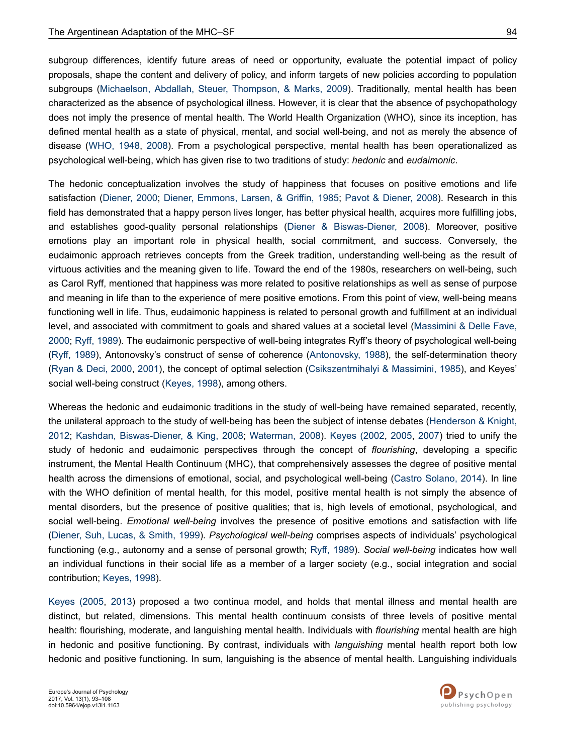subgroup differences, identify future areas of need or opportunity, evaluate the potential impact of policy proposals, shape the content and delivery of policy, and inform targets of new policies according to population subgroups [\(Michaelson, Abdallah, Steuer, Thompson, & Marks, 2009](#page-14-0)). Traditionally, mental health has been characterized as the absence of psychological illness. However, it is clear that the absence of psychopathology does not imply the presence of mental health. The World Health Organization (WHO), since its inception, has defined mental health as a state of physical, mental, and social well-being, and not as merely the absence of disease [\(WHO, 1948](#page-15-0), [2008\)](#page-15-0). From a psychological perspective, mental health has been operationalized as psychological well-being, which has given rise to two traditions of study: *hedonic* and *eudaimonic*.

The hedonic conceptualization involves the study of happiness that focuses on positive emotions and life satisfaction [\(Diener, 2000;](#page-12-0) [Diener, Emmons, Larsen, & Griffin, 1985;](#page-13-0) [Pavot & Diener, 2008\)](#page-14-0). Research in this field has demonstrated that a happy person lives longer, has better physical health, acquires more fulfilling jobs, and establishes good-quality personal relationships [\(Diener & Biswas-Diener, 2008\)](#page-12-0). Moreover, positive emotions play an important role in physical health, social commitment, and success. Conversely, the eudaimonic approach retrieves concepts from the Greek tradition, understanding well-being as the result of virtuous activities and the meaning given to life. Toward the end of the 1980s, researchers on well-being, such as Carol Ryff, mentioned that happiness was more related to positive relationships as well as sense of purpose and meaning in life than to the experience of mere positive emotions. From this point of view, well-being means functioning well in life. Thus, eudaimonic happiness is related to personal growth and fulfillment at an individual level, and associated with commitment to goals and shared values at a societal level ([Massimini & Delle Fave,](#page-14-0) [2000](#page-14-0); [Ryff, 1989](#page-14-0)). The eudaimonic perspective of well-being integrates Ryff's theory of psychological well-being [\(Ryff, 1989\)](#page-14-0), Antonovsky's construct of sense of coherence ([Antonovsky, 1988\)](#page-12-0), the self-determination theory [\(Ryan & Deci, 2000,](#page-14-0) [2001](#page-14-0)), the concept of optimal selection ([Csikszentmihalyi & Massimini, 1985](#page-12-0)), and Keyes' social well-being construct ([Keyes, 1998](#page-13-0)), among others.

Whereas the hedonic and eudaimonic traditions in the study of well-being have remained separated, recently, the unilateral approach to the study of well-being has been the subject of intense debates ([Henderson & Knight,](#page-13-0) [2012](#page-13-0); [Kashdan, Biswas-Diener, & King, 2008](#page-13-0); [Waterman, 2008](#page-15-0)). [Keyes \(2002,](#page-13-0) [2005,](#page-13-0) [2007\)](#page-13-0) tried to unify the study of hedonic and eudaimonic perspectives through the concept of *flourishing*, developing a specific instrument, the Mental Health Continuum (MHC), that comprehensively assesses the degree of positive mental health across the dimensions of emotional, social, and psychological well-being ([Castro Solano, 2014](#page-12-0)). In line with the WHO definition of mental health, for this model, positive mental health is not simply the absence of mental disorders, but the presence of positive qualities; that is, high levels of emotional, psychological, and social well-being. *Emotional well-being* involves the presence of positive emotions and satisfaction with life [\(Diener, Suh, Lucas, & Smith, 1999\)](#page-13-0). *Psychological well-being* comprises aspects of individuals' psychological functioning (e.g., autonomy and a sense of personal growth; [Ryff, 1989\)](#page-14-0). *Social well-being* indicates how well an individual functions in their social life as a member of a larger society (e.g., social integration and social contribution; [Keyes, 1998\)](#page-13-0).

[Keyes \(2005](#page-13-0), [2013](#page-13-0)) proposed a two continua model, and holds that mental illness and mental health are distinct, but related, dimensions. This mental health continuum consists of three levels of positive mental health: flourishing, moderate, and languishing mental health. Individuals with *flourishing* mental health are high in hedonic and positive functioning. By contrast, individuals with *languishing* mental health report both low hedonic and positive functioning. In sum, languishing is the absence of mental health. Languishing individuals

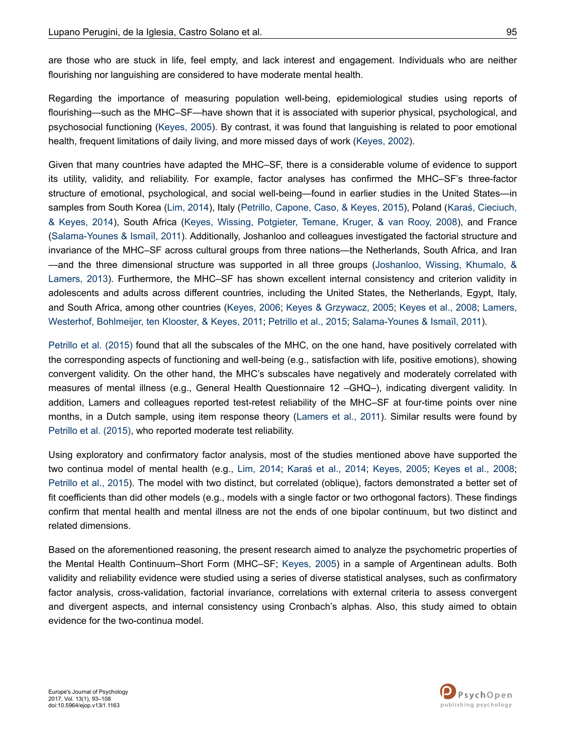are those who are stuck in life, feel empty, and lack interest and engagement. Individuals who are neither flourishing nor languishing are considered to have moderate mental health.

Regarding the importance of measuring population well-being, epidemiological studies using reports of flourishing—such as the MHC–SF—have shown that it is associated with superior physical, psychological, and psychosocial functioning ([Keyes, 2005\)](#page-13-0). By contrast, it was found that languishing is related to poor emotional health, frequent limitations of daily living, and more missed days of work [\(Keyes, 2002\)](#page-13-0).

Given that many countries have adapted the MHC–SF, there is a considerable volume of evidence to support its utility, validity, and reliability. For example, factor analyses has confirmed the MHC–SF's three-factor structure of emotional, psychological, and social well-being—found in earlier studies in the United States—in samples from South Korea [\(Lim, 2014](#page-14-0)), Italy ([Petrillo, Capone, Caso, & Keyes, 2015\)](#page-14-0), Poland [\(Karaś, Cieciuch,](#page-13-0) [& Keyes, 2014](#page-13-0)), South Africa ([Keyes, Wissing, Potgieter, Temane, Kruger, & van Rooy, 2008](#page-14-0)), and France [\(Salama-Younes & Ismaïl, 2011\)](#page-14-0). Additionally, Joshanloo and colleagues investigated the factorial structure and invariance of the MHC–SF across cultural groups from three nations—the Netherlands, South Africa, and Iran —and the three dimensional structure was supported in all three groups [\(Joshanloo, Wissing, Khumalo, &](#page-13-0) [Lamers, 2013\)](#page-13-0). Furthermore, the MHC–SF has shown excellent internal consistency and criterion validity in adolescents and adults across different countries, including the United States, the Netherlands, Egypt, Italy, and South Africa, among other countries [\(Keyes, 2006](#page-13-0); [Keyes & Grzywacz, 2005](#page-13-0); [Keyes et al., 2008](#page-14-0); [Lamers,](#page-14-0) [Westerhof, Bohlmeijer, ten Klooster, & Keyes, 2011; Petrillo et al., 2015](#page-14-0); [Salama-Younes & Ismaïl, 2011](#page-14-0)).

[Petrillo et al. \(2015\)](#page-14-0) found that all the subscales of the MHC, on the one hand, have positively correlated with the corresponding aspects of functioning and well-being (e.g., satisfaction with life, positive emotions), showing convergent validity. On the other hand, the MHC's subscales have negatively and moderately correlated with measures of mental illness (e.g., General Health Questionnaire 12 –GHQ–), indicating divergent validity. In addition, Lamers and colleagues reported test-retest reliability of the MHC–SF at four-time points over nine months, in a Dutch sample, using item response theory [\(Lamers et al., 2011\)](#page-14-0). Similar results were found by [Petrillo et al. \(2015\),](#page-14-0) who reported moderate test reliability.

Using exploratory and confirmatory factor analysis, most of the studies mentioned above have supported the two continua model of mental health (e.g., [Lim, 2014;](#page-14-0) [Karaś et al., 2014;](#page-13-0) [Keyes, 2005;](#page-13-0) [Keyes et al., 2008](#page-14-0); [Petrillo et al., 2015\)](#page-14-0). The model with two distinct, but correlated (oblique), factors demonstrated a better set of fit coefficients than did other models (e.g., models with a single factor or two orthogonal factors). These findings confirm that mental health and mental illness are not the ends of one bipolar continuum, but two distinct and related dimensions.

Based on the aforementioned reasoning, the present research aimed to analyze the psychometric properties of the Mental Health Continuum–Short Form (MHC–SF; [Keyes, 2005](#page-13-0)) in a sample of Argentinean adults. Both validity and reliability evidence were studied using a series of diverse statistical analyses, such as confirmatory factor analysis, cross-validation, factorial invariance, correlations with external criteria to assess convergent and divergent aspects, and internal consistency using Cronbach's alphas. Also, this study aimed to obtain evidence for the two-continua model.

2017, Vol. 13(1), 93–108

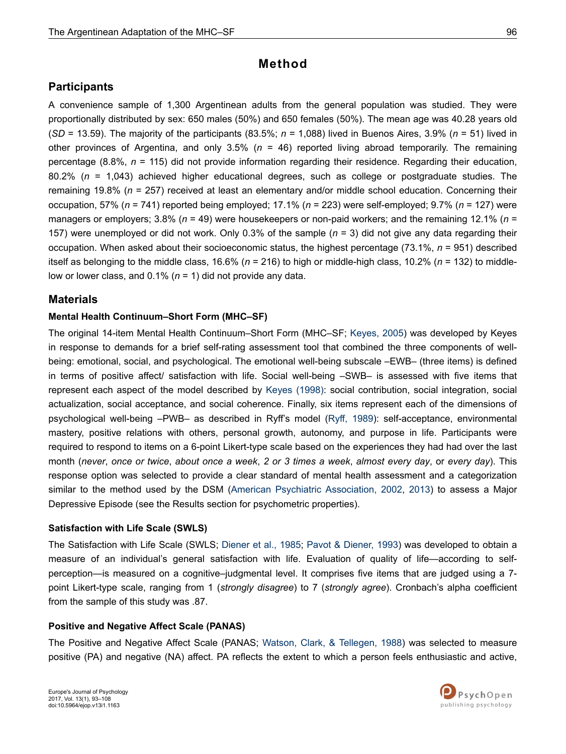## **Method**

## **Participants**

A convenience sample of 1,300 Argentinean adults from the general population was studied. They were proportionally distributed by sex: 650 males (50%) and 650 females (50%). The mean age was 40.28 years old (*SD* = 13.59). The majority of the participants (83.5%; *n* = 1,088) lived in Buenos Aires, 3.9% (*n* = 51) lived in other provinces of Argentina, and only 3.5% (*n* = 46) reported living abroad temporarily. The remaining percentage (8.8%, *n* = 115) did not provide information regarding their residence. Regarding their education, 80.2% (*n* = 1,043) achieved higher educational degrees, such as college or postgraduate studies. The remaining 19.8% (*n* = 257) received at least an elementary and/or middle school education. Concerning their occupation, 57% (*n* = 741) reported being employed; 17.1% (*n* = 223) were self-employed; 9.7% (*n* = 127) were managers or employers; 3.8% (*n* = 49) were housekeepers or non-paid workers; and the remaining 12.1% (*n* = 157) were unemployed or did not work. Only 0.3% of the sample (*n* = 3) did not give any data regarding their occupation. When asked about their socioeconomic status, the highest percentage (73.1%, *n* = 951) described itself as belonging to the middle class, 16.6% (*n* = 216) to high or middle-high class, 10.2% (*n* = 132) to middlelow or lower class, and 0.1% (*n* = 1) did not provide any data.

## **Materials**

### **Mental Health Continuum–Short Form (MHC–SF)**

The original 14-item Mental Health Continuum–Short Form (MHC–SF; [Keyes, 2005\)](#page-13-0) was developed by Keyes in response to demands for a brief self-rating assessment tool that combined the three components of wellbeing: emotional, social, and psychological. The emotional well-being subscale –EWB– (three items) is defined in terms of positive affect/ satisfaction with life. Social well-being –SWB– is assessed with five items that represent each aspect of the model described by [Keyes \(1998\):](#page-13-0) social contribution, social integration, social actualization, social acceptance, and social coherence. Finally, six items represent each of the dimensions of psychological well-being –PWB– as described in Ryff's model [\(Ryff, 1989\)](#page-14-0): self-acceptance, environmental mastery, positive relations with others, personal growth, autonomy, and purpose in life. Participants were required to respond to items on a 6-point Likert-type scale based on the experiences they had had over the last month (*never*, *once or twice*, *about once a week*, *2 or 3 times a week*, *almost every day*, or *every day*). This response option was selected to provide a clear standard of mental health assessment and a categorization similar to the method used by the DSM [\(American Psychiatric Association, 2002](#page-12-0), [2013\)](#page-12-0) to assess a Major Depressive Episode (see the Results section for psychometric properties).

### **Satisfaction with Life Scale (SWLS)**

The Satisfaction with Life Scale (SWLS; [Diener et al., 1985;](#page-13-0) [Pavot & Diener, 1993](#page-14-0)) was developed to obtain a measure of an individual's general satisfaction with life. Evaluation of quality of life—according to selfperception—is measured on a cognitive–judgmental level. It comprises five items that are judged using a 7 point Likert-type scale, ranging from 1 (*strongly disagree*) to 7 (*strongly agree*). Cronbach's alpha coefficient from the sample of this study was .87.

### **Positive and Negative Affect Scale (PANAS)**

The Positive and Negative Affect Scale (PANAS; [Watson, Clark, & Tellegen, 1988](#page-15-0)) was selected to measure positive (PA) and negative (NA) affect. PA reflects the extent to which a person feels enthusiastic and active,

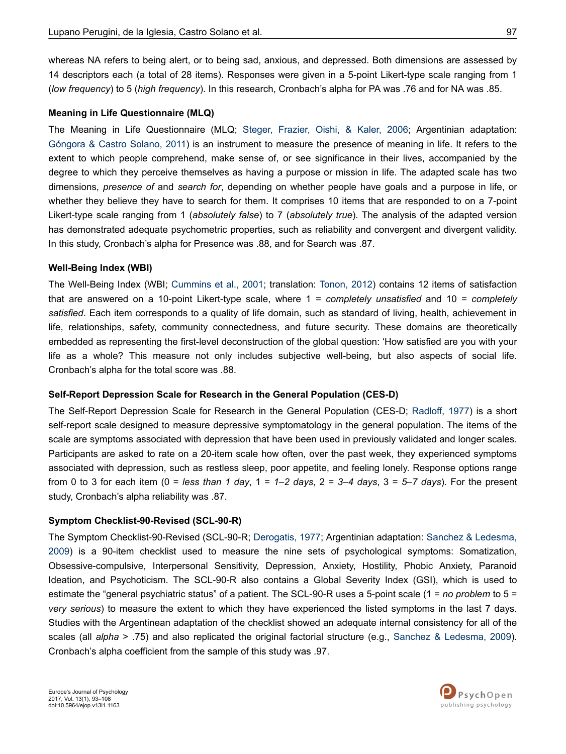whereas NA refers to being alert, or to being sad, anxious, and depressed. Both dimensions are assessed by 14 descriptors each (a total of 28 items). Responses were given in a 5-point Likert-type scale ranging from 1 (*low frequency*) to 5 (*high frequency*). In this research, Cronbach's alpha for PA was .76 and for NA was .85.

#### **Meaning in Life Questionnaire (MLQ)**

The Meaning in Life Questionnaire (MLQ; [Steger, Frazier, Oishi, & Kaler, 2006;](#page-15-0) Argentinian adaptation: [Góngora & Castro Solano, 2011\)](#page-13-0) is an instrument to measure the presence of meaning in life. It refers to the extent to which people comprehend, make sense of, or see significance in their lives, accompanied by the degree to which they perceive themselves as having a purpose or mission in life. The adapted scale has two dimensions, *presence of* and *search for*, depending on whether people have goals and a purpose in life, or whether they believe they have to search for them. It comprises 10 items that are responded to on a 7-point Likert-type scale ranging from 1 (*absolutely false*) to 7 (*absolutely true*). The analysis of the adapted version has demonstrated adequate psychometric properties, such as reliability and convergent and divergent validity. In this study, Cronbach's alpha for Presence was .88, and for Search was .87.

#### **Well-Being Index (WBI)**

The Well-Being Index (WBI; [Cummins et al., 2001](#page-12-0); translation: [Tonon, 2012](#page-15-0)) contains 12 items of satisfaction that are answered on a 10-point Likert-type scale, where 1 = *completely unsatisfied* and 10 = *completely satisfied*. Each item corresponds to a quality of life domain, such as standard of living, health, achievement in life, relationships, safety, community connectedness, and future security. These domains are theoretically embedded as representing the first-level deconstruction of the global question: 'How satisfied are you with your life as a whole? This measure not only includes subjective well-being, but also aspects of social life. Cronbach's alpha for the total score was .88.

### **Self-Report Depression Scale for Research in the General Population (CES-D)**

The Self-Report Depression Scale for Research in the General Population (CES-D; [Radloff, 1977](#page-14-0)) is a short self-report scale designed to measure depressive symptomatology in the general population. The items of the scale are symptoms associated with depression that have been used in previously validated and longer scales. Participants are asked to rate on a 20-item scale how often, over the past week, they experienced symptoms associated with depression, such as restless sleep, poor appetite, and feeling lonely. Response options range from 0 to 3 for each item (0 = *less than 1 day*, 1 = *1–2 days*, 2 = *3–4 days*, 3 = *5–7 days*). For the present study, Cronbach's alpha reliability was .87.

### **Symptom Checklist-90-Revised (SCL-90-R)**

The Symptom Checklist-90-Revised (SCL-90-R; [Derogatis, 1977;](#page-12-0) Argentinian adaptation: [Sanchez & Ledesma,](#page-14-0) [2009](#page-14-0)) is a 90-item checklist used to measure the nine sets of psychological symptoms: Somatization, Obsessive-compulsive, Interpersonal Sensitivity, Depression, Anxiety, Hostility, Phobic Anxiety, Paranoid Ideation, and Psychoticism. The SCL-90-R also contains a Global Severity Index (GSI), which is used to estimate the "general psychiatric status" of a patient. The SCL-90-R uses a 5-point scale (1 = *no problem* to 5 = *very serious*) to measure the extent to which they have experienced the listed symptoms in the last 7 days. Studies with the Argentinean adaptation of the checklist showed an adequate internal consistency for all of the scales (all *alpha* > .75) and also replicated the original factorial structure (e.g., [Sanchez & Ledesma, 2009](#page-14-0)). Cronbach's alpha coefficient from the sample of this study was .97.

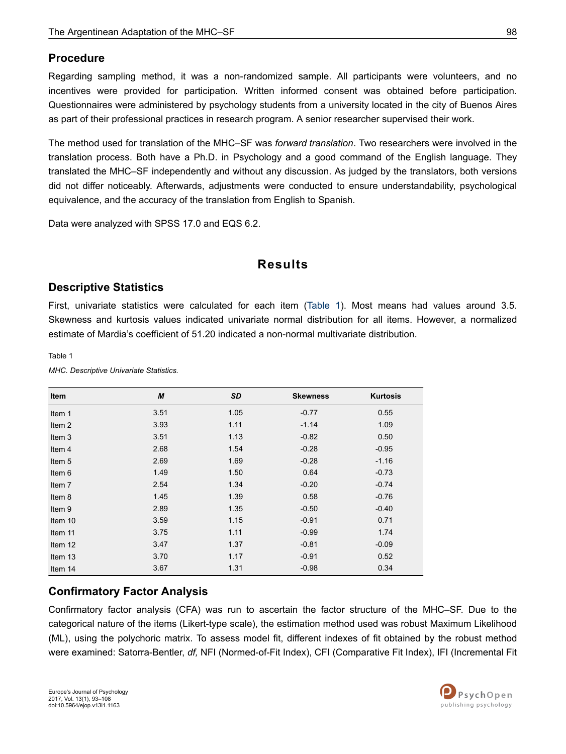## **Procedure**

Regarding sampling method, it was a non-randomized sample. All participants were volunteers, and no incentives were provided for participation. Written informed consent was obtained before participation. Questionnaires were administered by psychology students from a university located in the city of Buenos Aires as part of their professional practices in research program. A senior researcher supervised their work.

The method used for translation of the MHC–SF was *forward translation*. Two researchers were involved in the translation process. Both have a Ph.D. in Psychology and a good command of the English language. They translated the MHC–SF independently and without any discussion. As judged by the translators, both versions did not differ noticeably. Afterwards, adjustments were conducted to ensure understandability, psychological equivalence, and the accuracy of the translation from English to Spanish.

Data were analyzed with SPSS 17.0 and EQS 6.2.

## **Results**

## **Descriptive Statistics**

First, univariate statistics were calculated for each item (Table 1). Most means had values around 3.5. Skewness and kurtosis values indicated univariate normal distribution for all items. However, a normalized estimate of Mardia's coefficient of 51.20 indicated a non-normal multivariate distribution.

Table 1

*MHC. Descriptive Univariate Statistics.*

| Item              | M    | <b>SD</b> | <b>Skewness</b> | <b>Kurtosis</b> |
|-------------------|------|-----------|-----------------|-----------------|
| Item 1            | 3.51 | 1.05      | $-0.77$         | 0.55            |
| Item <sub>2</sub> | 3.93 | 1.11      | $-1.14$         | 1.09            |
| Item 3            | 3.51 | 1.13      | $-0.82$         | 0.50            |
| Item 4            | 2.68 | 1.54      | $-0.28$         | $-0.95$         |
| Item 5            | 2.69 | 1.69      | $-0.28$         | $-1.16$         |
| Item 6            | 1.49 | 1.50      | 0.64            | $-0.73$         |
| Item 7            | 2.54 | 1.34      | $-0.20$         | $-0.74$         |
| Item 8            | 1.45 | 1.39      | 0.58            | $-0.76$         |
| Item 9            | 2.89 | 1.35      | $-0.50$         | $-0.40$         |
| Item 10           | 3.59 | 1.15      | $-0.91$         | 0.71            |
| Item 11           | 3.75 | 1.11      | $-0.99$         | 1.74            |
| Item 12           | 3.47 | 1.37      | $-0.81$         | $-0.09$         |
| Item 13           | 3.70 | 1.17      | $-0.91$         | 0.52            |
| Item 14           | 3.67 | 1.31      | $-0.98$         | 0.34            |

## **Confirmatory Factor Analysis**

Confirmatory factor analysis (CFA) was run to ascertain the factor structure of the MHC–SF. Due to the categorical nature of the items (Likert-type scale), the estimation method used was robust Maximum Likelihood (ML), using the polychoric matrix. To assess model fit, different indexes of fit obtained by the robust method were examined: Satorra-Bentler, *df,* NFI (Normed-of-Fit Index), CFI (Comparative Fit Index), IFI (Incremental Fit

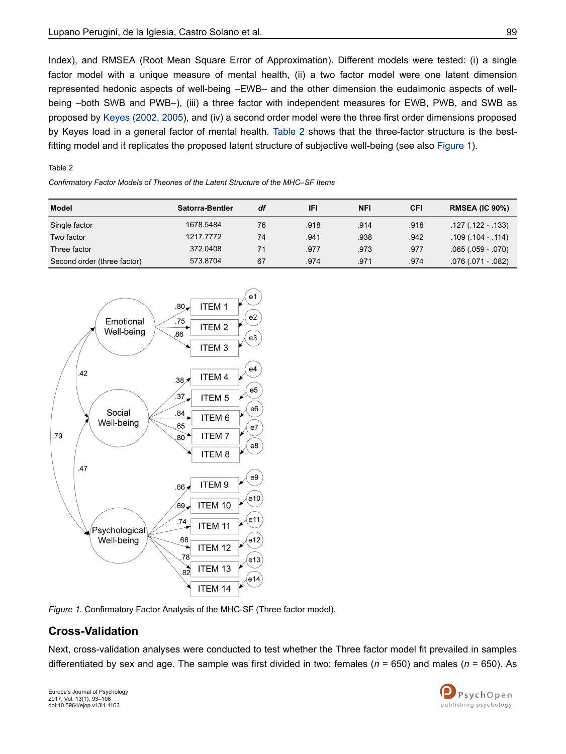Index), and RMSEA (Root Mean Square Error of Approximation). Different models were tested: (i) a single factor model with a unique measure of mental health, (ii) a two factor model were one latent dimension represented hedonic aspects of well-being –EWB– and the other dimension the eudaimonic aspects of wellbeing –both SWB and PWB–), (iii) a three factor with independent measures for EWB, PWB, and SWB as proposed by [Keyes \(2002](#page-13-0), [2005\)](#page-13-0), and (iv) a second order model were the three first order dimensions proposed by Keyes load in a general factor of mental health. Table 2 shows that the three-factor structure is the bestfitting model and it replicates the proposed latent structure of subjective well-being (see also Figure 1).

#### Table 2

*Confirmatory Factor Models of Theories of the Latent Structure of the MHC–SF Items*

| Model                       | Satorra-Bentler | df | IFI  | <b>NFI</b> | CFI  | <b>RMSEA (IC 90%)</b> |
|-----------------------------|-----------------|----|------|------------|------|-----------------------|
| Single factor               | 1678.5484       | 76 | .918 | .914       | .918 | $.127(.122-.133)$     |
| Two factor                  | 1217.7772       | 74 | .941 | .938       | .942 | $.109(.104 - .114)$   |
| Three factor                | 372.0408        | 71 | .977 | .973       | .977 | $.065(.059-.070)$     |
| Second order (three factor) | 573.8704        | 67 | .974 | .971       | .974 | $.076(.071-.082)$     |





## **Cross-Validation**

Next, cross-validation analyses were conducted to test whether the Three factor model fit prevailed in samples differentiated by sex and age. The sample was first divided in two: females (*n* = 650) and males (*n* = 650). As

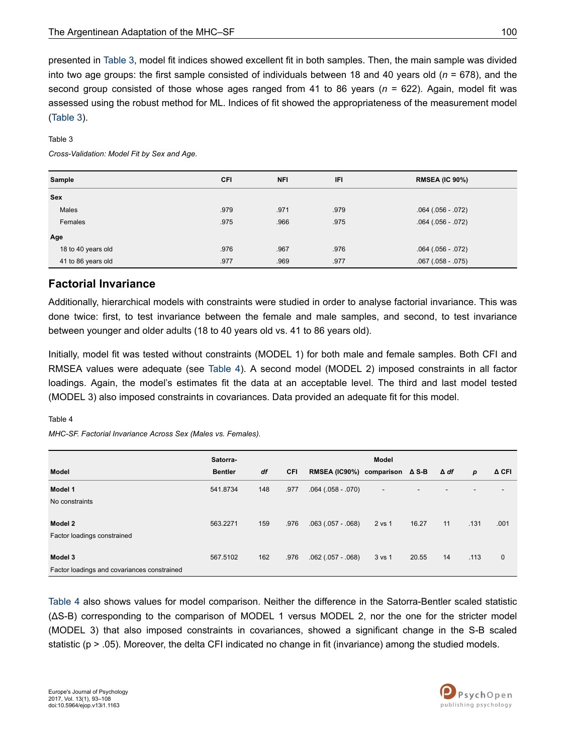presented in Table 3, model fit indices showed excellent fit in both samples. Then, the main sample was divided into two age groups: the first sample consisted of individuals between 18 and 40 years old (*n* = 678), and the second group consisted of those whose ages ranged from 41 to 86 years (*n* = 622). Again, model fit was assessed using the robust method for ML. Indices of fit showed the appropriateness of the measurement model (Table 3).

#### Table 3

*Cross-Validation: Model Fit by Sex and Age.*

| Sample             | <b>CFI</b> | <b>NFI</b> | IFI  | <b>RMSEA (IC 90%)</b> |
|--------------------|------------|------------|------|-----------------------|
| <b>Sex</b>         |            |            |      |                       |
| Males              | .979       | .971       | .979 | $.064(.056-.072)$     |
| Females            | .975       | .966       | .975 | $.064(.056-.072)$     |
| Age                |            |            |      |                       |
| 18 to 40 years old | .976       | .967       | .976 | $.064(.056-.072)$     |
| 41 to 86 years old | .977       | .969       | .977 | $.067(.058-.075)$     |

### **Factorial Invariance**

Additionally, hierarchical models with constraints were studied in order to analyse factorial invariance. This was done twice: first, to test invariance between the female and male samples, and second, to test invariance between younger and older adults (18 to 40 years old vs. 41 to 86 years old).

Initially, model fit was tested without constraints (MODEL 1) for both male and female samples. Both CFI and RMSEA values were adequate (see Table 4). A second model (MODEL 2) imposed constraints in all factor loadings. Again, the model's estimates fit the data at an acceptable level. The third and last model tested (MODEL 3) also imposed constraints in covariances. Data provided an adequate fit for this model.

#### Table 4

*MHC-SF. Factorial Invariance Across Sex (Males vs. Females).*

|                                             | Satorra-       |     |      |                                          | Model                    |       |     |      |             |
|---------------------------------------------|----------------|-----|------|------------------------------------------|--------------------------|-------|-----|------|-------------|
| Model                                       | <b>Bentler</b> | df  | CFI  | RMSEA (IC90%) comparison $\triangle$ S-B |                          |       | Δdf | р    | A CFI       |
| Model 1                                     | 541.8734       | 148 | .977 | $.064(.058-.070)$                        | $\overline{\phantom{a}}$ |       |     |      | -           |
| No constraints                              |                |     |      |                                          |                          |       |     |      |             |
| Model 2                                     | 563.2271       | 159 | .976 | $.063(.057-.068)$                        | 2 vs 1                   | 16.27 | 11  | .131 | .001        |
| Factor loadings constrained                 |                |     |      |                                          |                          |       |     |      |             |
|                                             |                |     |      |                                          |                          |       |     |      |             |
| Model 3                                     | 567.5102       | 162 | .976 | $.062$ $(.057 - .068)$                   | 3 vs 1                   | 20.55 | 14  | .113 | $\mathbf 0$ |
| Factor loadings and covariances constrained |                |     |      |                                          |                          |       |     |      |             |

Table 4 also shows values for model comparison. Neither the difference in the Satorra-Bentler scaled statistic (ΔS-B) corresponding to the comparison of MODEL 1 versus MODEL 2, nor the one for the stricter model (MODEL 3) that also imposed constraints in covariances, showed a significant change in the S-B scaled statistic (p > .05). Moreover, the delta CFI indicated no change in fit (invariance) among the studied models.

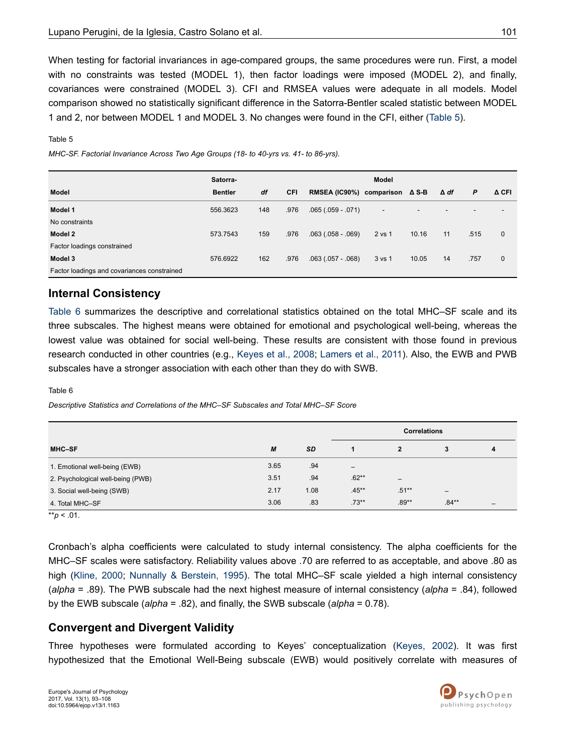When testing for factorial invariances in age-compared groups, the same procedures were run. First, a model with no constraints was tested (MODEL 1), then factor loadings were imposed (MODEL 2), and finally, covariances were constrained (MODEL 3). CFI and RMSEA values were adequate in all models. Model comparison showed no statistically significant difference in the Satorra-Bentler scaled statistic between MODEL 1 and 2, nor between MODEL 1 and MODEL 3. No changes were found in the CFI, either (Table 5).

#### Table 5

*MHC-SF. Factorial Invariance Across Two Age Groups (18- to 40-yrs vs. 41- to 86-yrs).*

|                                             | Satorra-       |     |            |                                          | <b>Model</b>             |       |             |                          |                          |
|---------------------------------------------|----------------|-----|------------|------------------------------------------|--------------------------|-------|-------------|--------------------------|--------------------------|
| Model                                       | <b>Bentler</b> | df  | <b>CFI</b> | RMSEA (IC90%) comparison $\triangle$ S-B |                          |       | $\Delta$ df | P                        | A CFI                    |
| Model 1                                     | 556.3623       | 148 | .976       | $.065(.059-.071)$                        | $\overline{\phantom{a}}$ |       |             | $\overline{\phantom{0}}$ | $\overline{\phantom{0}}$ |
| No constraints                              |                |     |            |                                          |                          |       |             |                          |                          |
| Model 2                                     | 573.7543       | 159 | .976       | $.063(.058-.069)$                        | 2 vs 1                   | 10.16 | 11          | .515                     | $\mathbf{0}$             |
| Factor loadings constrained                 |                |     |            |                                          |                          |       |             |                          |                          |
| Model 3                                     | 576.6922       | 162 | .976       | $.063(.057-.068)$                        | 3 vs 1                   | 10.05 | 14          | .757                     | $\mathbf{0}$             |
| Factor loadings and covariances constrained |                |     |            |                                          |                          |       |             |                          |                          |

### **Internal Consistency**

Table 6 summarizes the descriptive and correlational statistics obtained on the total MHC–SF scale and its three subscales. The highest means were obtained for emotional and psychological well-being, whereas the lowest value was obtained for social well-being. These results are consistent with those found in previous research conducted in other countries (e.g., [Keyes et al., 2008](#page-14-0); [Lamers et al., 2011](#page-14-0)). Also, the EWB and PWB subscales have a stronger association with each other than they do with SWB.

Table 6

*Descriptive Statistics and Correlations of the MHC–SF Subscales and Total MHC–SF Score*

|                                   |      |           | <b>Correlations</b>      |                 |                              |                          |
|-----------------------------------|------|-----------|--------------------------|-----------------|------------------------------|--------------------------|
| MHC-SF                            | M    | <b>SD</b> |                          | 2               | 3                            | 4                        |
| 1. Emotional well-being (EWB)     | 3.65 | .94       | $\overline{\phantom{m}}$ |                 |                              |                          |
| 2. Psychological well-being (PWB) | 3.51 | .94       | $.62**$                  | $\qquad \qquad$ |                              |                          |
| 3. Social well-being (SWB)        | 2.17 | 1.08      | $.45***$                 | $.51***$        | $\qquad \qquad \blacksquare$ |                          |
| 4. Total MHC-SF                   | 3.06 | .83       | $.73***$                 | $.89**$         | $.84**$                      | $\overline{\phantom{0}}$ |

 $*$ *r* $p$  < .01.

Cronbach's alpha coefficients were calculated to study internal consistency. The alpha coefficients for the MHC–SF scales were satisfactory. Reliability values above .70 are referred to as acceptable, and above .80 as high ([Kline, 2000](#page-14-0); [Nunnally & Berstein, 1995\)](#page-14-0). The total MHC–SF scale yielded a high internal consistency (*alpha* = .89). The PWB subscale had the next highest measure of internal consistency (*alpha* = .84), followed by the EWB subscale (*alpha* = .82), and finally, the SWB subscale (*alpha* = 0.78).

## **Convergent and Divergent Validity**

Three hypotheses were formulated according to Keyes' conceptualization [\(Keyes, 2002](#page-13-0)). It was first hypothesized that the Emotional Well-Being subscale (EWB) would positively correlate with measures of

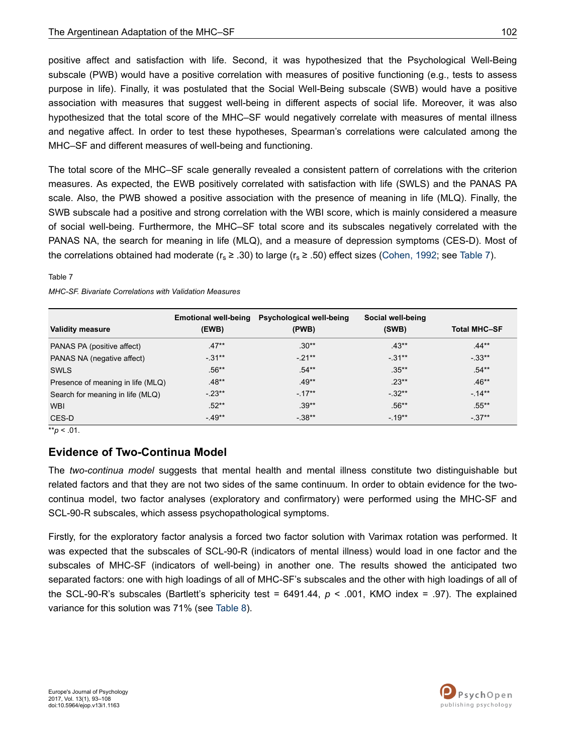positive affect and satisfaction with life. Second, it was hypothesized that the Psychological Well-Being subscale (PWB) would have a positive correlation with measures of positive functioning (e.g., tests to assess purpose in life). Finally, it was postulated that the Social Well-Being subscale (SWB) would have a positive association with measures that suggest well-being in different aspects of social life. Moreover, it was also hypothesized that the total score of the MHC–SF would negatively correlate with measures of mental illness and negative affect. In order to test these hypotheses, Spearman's correlations were calculated among the MHC–SF and different measures of well-being and functioning.

The total score of the MHC–SF scale generally revealed a consistent pattern of correlations with the criterion measures. As expected, the EWB positively correlated with satisfaction with life (SWLS) and the PANAS PA scale. Also, the PWB showed a positive association with the presence of meaning in life (MLQ). Finally, the SWB subscale had a positive and strong correlation with the WBI score, which is mainly considered a measure of social well-being. Furthermore, the MHC–SF total score and its subscales negatively correlated with the PANAS NA, the search for meaning in life (MLQ), and a measure of depression symptoms (CES-D). Most of the correlations obtained had moderate ( $r_s \geq .30$ ) to large ( $r_s \geq .50$ ) effect sizes [\(Cohen, 1992;](#page-12-0) see Table 7).

Table 7

|                                   | <b>Emotional well-being</b> | Psychological well-being | Social well-being |                     |
|-----------------------------------|-----------------------------|--------------------------|-------------------|---------------------|
| <b>Validity measure</b>           | (EWB)                       | (PWB)                    | (SWB)             | <b>Total MHC-SF</b> |
| PANAS PA (positive affect)        | $.47**$                     | $.30**$                  | $.43**$           | $.44**$             |
| PANAS NA (negative affect)        | $-0.31**$                   | $-21**$                  | $-.31***$         | $-.33**$            |
| <b>SWLS</b>                       | $.56**$                     | $.54**$                  | $.35***$          | $.54**$             |
| Presence of meaning in life (MLQ) | $.48**$                     | $.49**$                  | $.23**$           | $.46**$             |
| Search for meaning in life (MLQ)  | $-23**$                     | $-17**$                  | $-32**$           | $-14**$             |
| <b>WBI</b>                        | $.52**$                     | $.39**$                  | $.56**$           | $.55***$            |
| CES-D                             | $-49**$                     | $-38**$                  | $-19**$           | $-37**$             |

*MHC-SF. Bivariate Correlations with Validation Measures*

\*\**p* < .01.

## **Evidence of Two-Continua Model**

The *two-continua model* suggests that mental health and mental illness constitute two distinguishable but related factors and that they are not two sides of the same continuum. In order to obtain evidence for the twocontinua model, two factor analyses (exploratory and confirmatory) were performed using the MHC-SF and SCL-90-R subscales, which assess psychopathological symptoms.

Firstly, for the exploratory factor analysis a forced two factor solution with Varimax rotation was performed. It was expected that the subscales of SCL-90-R (indicators of mental illness) would load in one factor and the subscales of MHC-SF (indicators of well-being) in another one. The results showed the anticipated two separated factors: one with high loadings of all of MHC-SF's subscales and the other with high loadings of all of the SCL-90-R's subscales (Bartlett's sphericity test = 6491.44, *p* < .001, KMO index = .97). The explained variance for this solution was 71% (see [Table 8](#page-10-0)).

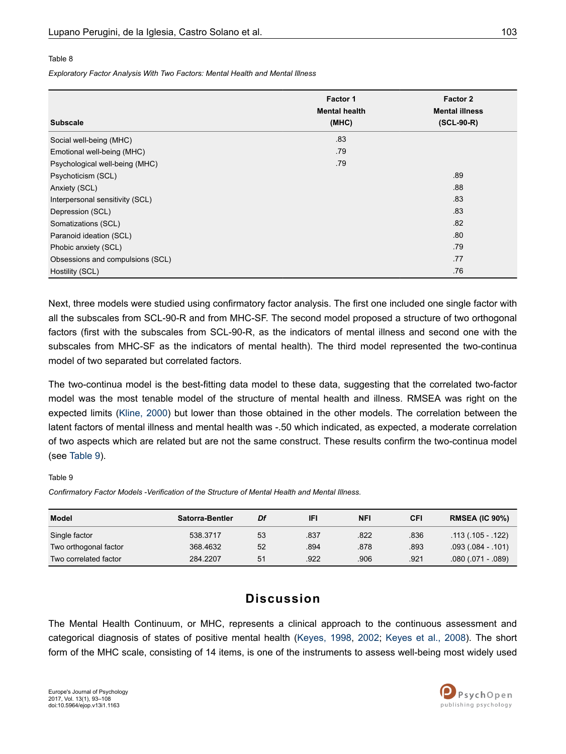#### <span id="page-10-0"></span>Table 8

*Exploratory Factor Analysis With Two Factors: Mental Health and Mental Illness*

| <b>Subscale</b>                  | Factor 1<br><b>Mental health</b><br>(MHC) | Factor 2<br><b>Mental illness</b><br>$(SCL-90-R)$ |
|----------------------------------|-------------------------------------------|---------------------------------------------------|
|                                  |                                           |                                                   |
| Social well-being (MHC)          | .83                                       |                                                   |
| Emotional well-being (MHC)       | .79                                       |                                                   |
| Psychological well-being (MHC)   | .79                                       |                                                   |
| Psychoticism (SCL)               |                                           | .89                                               |
| Anxiety (SCL)                    |                                           | .88                                               |
| Interpersonal sensitivity (SCL)  |                                           | .83                                               |
| Depression (SCL)                 |                                           | .83                                               |
| Somatizations (SCL)              |                                           | .82                                               |
| Paranoid ideation (SCL)          |                                           | .80                                               |
| Phobic anxiety (SCL)             |                                           | .79                                               |
| Obsessions and compulsions (SCL) |                                           | .77                                               |
| Hostility (SCL)                  |                                           | .76                                               |

Next, three models were studied using confirmatory factor analysis. The first one included one single factor with all the subscales from SCL-90-R and from MHC-SF. The second model proposed a structure of two orthogonal factors (first with the subscales from SCL-90-R, as the indicators of mental illness and second one with the subscales from MHC-SF as the indicators of mental health). The third model represented the two-continua model of two separated but correlated factors.

The two-continua model is the best-fitting data model to these data, suggesting that the correlated two-factor model was the most tenable model of the structure of mental health and illness. RMSEA was right on the expected limits [\(Kline, 2000](#page-14-0)) but lower than those obtained in the other models. The correlation between the latent factors of mental illness and mental health was -.50 which indicated, as expected, a moderate correlation of two aspects which are related but are not the same construct. These results confirm the two-continua model (see Table 9).

#### Table 9

*Confirmatory Factor Models -Verification of the Structure of Mental Health and Mental Illness.*

| <b>Model</b>          | Satorra-Bentler | Df | IFI  | NFI  | CFI  | <b>RMSEA (IC 90%)</b> |
|-----------------------|-----------------|----|------|------|------|-----------------------|
| Single factor         | 538.3717        | 53 | .837 | .822 | .836 | $.113(.105-.122)$     |
| Two orthogonal factor | 368.4632        | 52 | .894 | .878 | .893 | $.093(084-.101)$      |
| Two correlated factor | 284.2207        | 51 | .922 | .906 | .921 | $.080(.071-.089)$     |

## **Discussion**

The Mental Health Continuum, or MHC, represents a clinical approach to the continuous assessment and categorical diagnosis of states of positive mental health ([Keyes, 1998,](#page-13-0) [2002](#page-13-0); [Keyes et al., 2008](#page-14-0)). The short form of the MHC scale, consisting of 14 items, is one of the instruments to assess well-being most widely used

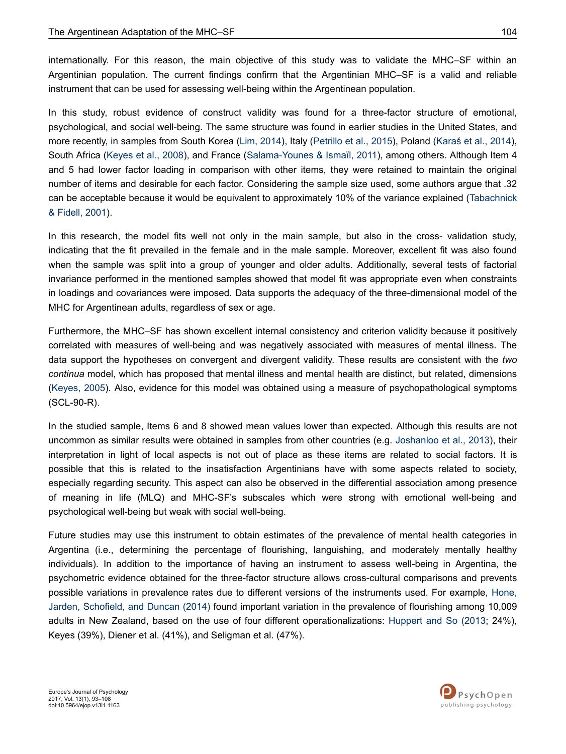internationally. For this reason, the main objective of this study was to validate the MHC–SF within an Argentinian population. The current findings confirm that the Argentinian MHC–SF is a valid and reliable instrument that can be used for assessing well-being within the Argentinean population.

In this study, robust evidence of construct validity was found for a three-factor structure of emotional, psychological, and social well-being. The same structure was found in earlier studies in the United States, and more recently, in samples from South Korea [\(Lim, 2014](#page-14-0)), Italy ([Petrillo et al., 2015](#page-14-0)), Poland [\(Karaś et al., 2014](#page-13-0)), South Africa [\(Keyes et al., 2008](#page-14-0)), and France ([Salama-Younes & Ismaïl, 2011](#page-14-0)), among others. Although Item 4 and 5 had lower factor loading in comparison with other items, they were retained to maintain the original number of items and desirable for each factor. Considering the sample size used, some authors argue that .32 can be acceptable because it would be equivalent to approximately 10% of the variance explained [\(Tabachnick](#page-15-0) [& Fidell, 2001](#page-15-0)).

In this research, the model fits well not only in the main sample, but also in the cross- validation study, indicating that the fit prevailed in the female and in the male sample. Moreover, excellent fit was also found when the sample was split into a group of younger and older adults. Additionally, several tests of factorial invariance performed in the mentioned samples showed that model fit was appropriate even when constraints in loadings and covariances were imposed. Data supports the adequacy of the three-dimensional model of the MHC for Argentinean adults, regardless of sex or age.

Furthermore, the MHC–SF has shown excellent internal consistency and criterion validity because it positively correlated with measures of well-being and was negatively associated with measures of mental illness. The data support the hypotheses on convergent and divergent validity. These results are consistent with the *two continua* model, which has proposed that mental illness and mental health are distinct, but related, dimensions [\(Keyes, 2005\)](#page-13-0). Also, evidence for this model was obtained using a measure of psychopathological symptoms (SCL-90-R).

In the studied sample, Items 6 and 8 showed mean values lower than expected. Although this results are not uncommon as similar results were obtained in samples from other countries (e.g. [Joshanloo et al., 2013](#page-13-0)), their interpretation in light of local aspects is not out of place as these items are related to social factors. It is possible that this is related to the insatisfaction Argentinians have with some aspects related to society, especially regarding security. This aspect can also be observed in the differential association among presence of meaning in life (MLQ) and MHC-SF's subscales which were strong with emotional well-being and psychological well-being but weak with social well-being.

Future studies may use this instrument to obtain estimates of the prevalence of mental health categories in Argentina (i.e., determining the percentage of flourishing, languishing, and moderately mentally healthy individuals). In addition to the importance of having an instrument to assess well-being in Argentina, the psychometric evidence obtained for the three-factor structure allows cross-cultural comparisons and prevents possible variations in prevalence rates due to different versions of the instruments used. For example, [Hone,](#page-13-0) [Jarden, Schofield, and Duncan \(2014\)](#page-13-0) found important variation in the prevalence of flourishing among 10,009 adults in New Zealand, based on the use of four different operationalizations: [Huppert and So \(2013](#page-13-0); 24%), Keyes (39%), Diener et al. (41%), and Seligman et al. (47%).

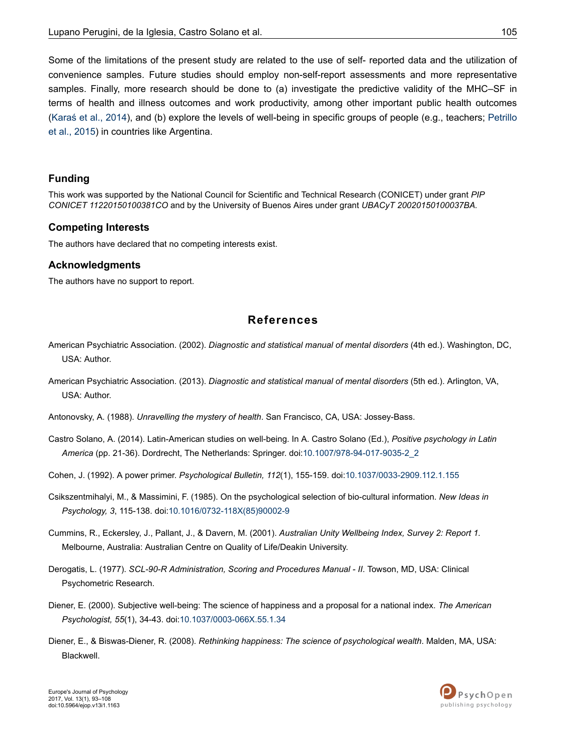<span id="page-12-0"></span>Some of the limitations of the present study are related to the use of self- reported data and the utilization of convenience samples. Future studies should employ non-self-report assessments and more representative samples. Finally, more research should be done to (a) investigate the predictive validity of the MHC–SF in terms of health and illness outcomes and work productivity, among other important public health outcomes [\(Karaś et al., 2014\)](#page-13-0), and (b) explore the levels of well-being in specific groups of people (e.g., teachers; [Petrillo](#page-14-0) [et al., 2015\)](#page-14-0) in countries like Argentina.

### **Funding**

This work was supported by the National Council for Scientific and Technical Research (CONICET) under grant *PIP CONICET 11220150100381CO* and by the University of Buenos Aires under grant *UBACyT 20020150100037BA.*

### **Competing Interests**

The authors have declared that no competing interests exist.

### **Acknowledgments**

The authors have no support to report.

## **References**

- American Psychiatric Association. (2002). *Diagnostic and statistical manual of mental disorders* (4th ed.). Washington, DC, USA: Author.
- American Psychiatric Association. (2013). *Diagnostic and statistical manual of mental disorders* (5th ed.). Arlington, VA, USA: Author.
- Antonovsky, A. (1988). *Unravelling the mystery of health*. San Francisco, CA, USA: Jossey-Bass.
- Castro Solano, A. (2014). Latin-American studies on well-being. In A. Castro Solano (Ed.), *Positive psychology in Latin America* (pp. 21-36). Dordrecht, The Netherlands: Springer. doi:[10.1007/978-94-017-9035-2\\_2](http://doi.org/10.1007/978-94-017-9035-2_2)
- Cohen, J. (1992). A power primer. *Psychological Bulletin, 112*(1), 155-159. doi:[10.1037/0033-2909.112.1.155](http://doi.org/10.1037/0033-2909.112.1.155)
- Csikszentmihalyi, M., & Massimini, F. (1985). On the psychological selection of bio-cultural information. *New Ideas in Psychology, 3*, 115-138. doi[:10.1016/0732-118X\(85\)90002-9](http://doi.org/10.1016/0732-118X(85)90002-9)
- Cummins, R., Eckersley, J., Pallant, J., & Davern, M. (2001). *Australian Unity Wellbeing Index, Survey 2: Report 1.* Melbourne, Australia: Australian Centre on Quality of Life/Deakin University.
- Derogatis, L. (1977). *SCL-90-R Administration, Scoring and Procedures Manual II*. Towson, MD, USA: Clinical Psychometric Research.
- Diener, E. (2000). Subjective well-being: The science of happiness and a proposal for a national index. *The American Psychologist, 55*(1), 34-43. doi[:10.1037/0003-066X.55.1.34](http://doi.org/10.1037/0003-066X.55.1.34)
- Diener, E., & Biswas-Diener, R. (2008). *Rethinking happiness: The science of psychological wealth*. Malden, MA, USA: Blackwell.

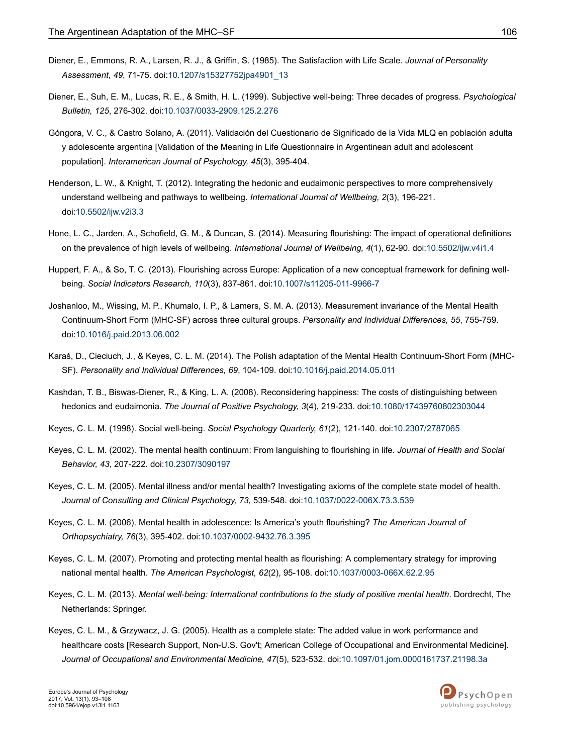- <span id="page-13-0"></span>Diener, E., Emmons, R. A., Larsen, R. J., & Griffin, S. (1985). The Satisfaction with Life Scale. *Journal of Personality Assessment, 49*, 71-75. doi:[10.1207/s15327752jpa4901\\_13](http://doi.org/10.1207/s15327752jpa4901_13)
- Diener, E., Suh, E. M., Lucas, R. E., & Smith, H. L. (1999). Subjective well-being: Three decades of progress. *Psychological Bulletin, 125*, 276-302. doi[:10.1037/0033-2909.125.2.276](http://doi.org/10.1037/0033-2909.125.2.276)
- Góngora, V. C., & Castro Solano, A. (2011). Validación del Cuestionario de Significado de la Vida MLQ en población adulta y adolescente argentina [Validation of the Meaning in Life Questionnaire in Argentinean adult and adolescent population]. *Interamerican Journal of Psychology, 45*(3), 395-404.
- Henderson, L. W., & Knight, T. (2012). Integrating the hedonic and eudaimonic perspectives to more comprehensively understand wellbeing and pathways to wellbeing. *International Journal of Wellbeing, 2*(3), 196-221. doi:[10.5502/ijw.v2i3.3](http://doi.org/10.5502/ijw.v2i3.3)
- Hone, L. C., Jarden, A., Schofield, G. M., & Duncan, S. (2014). Measuring flourishing: The impact of operational definitions on the prevalence of high levels of wellbeing. *International Journal of Wellbeing, 4*(1), 62-90. doi:[10.5502/ijw.v4i1.4](http://doi.org/10.5502/ijw.v4i1.4)
- Huppert, F. A., & So, T. C. (2013). Flourishing across Europe: Application of a new conceptual framework for defining wellbeing. *Social Indicators Research, 110*(3), 837-861. doi[:10.1007/s11205-011-9966-7](http://doi.org/10.1007/s11205-011-9966-7)
- Joshanloo, M., Wissing, M. P., Khumalo, I. P., & Lamers, S. M. A. (2013). Measurement invariance of the Mental Health Continuum-Short Form (MHC-SF) across three cultural groups. *Personality and Individual Differences, 55*, 755-759. doi:[10.1016/j.paid.2013.06.002](http://doi.org/10.1016/j.paid.2013.06.002)
- Karaś, D., Cieciuch, J., & Keyes, C. L. M. (2014). The Polish adaptation of the Mental Health Continuum-Short Form (MHC-SF). *Personality and Individual Differences, 69*, 104-109. doi:[10.1016/j.paid.2014.05.011](http://doi.org/10.1016/j.paid.2014.05.011)
- Kashdan, T. B., Biswas-Diener, R., & King, L. A. (2008). Reconsidering happiness: The costs of distinguishing between hedonics and eudaimonia. *The Journal of Positive Psychology, 3*(4), 219-233. doi:[10.1080/17439760802303044](http://doi.org/10.1080/17439760802303044)
- Keyes, C. L. M. (1998). Social well-being. *Social Psychology Quarterly, 61*(2), 121-140. doi[:10.2307/2787065](http://doi.org/10.2307/2787065)
- Keyes, C. L. M. (2002). The mental health continuum: From languishing to flourishing in life. *Journal of Health and Social Behavior, 43*, 207-222. doi:[10.2307/3090197](http://doi.org/10.2307/3090197)
- Keyes, C. L. M. (2005). Mental illness and/or mental health? Investigating axioms of the complete state model of health. *Journal of Consulting and Clinical Psychology, 73*, 539-548. doi[:10.1037/0022-006X.73.3.539](http://doi.org/10.1037/0022-006X.73.3.539)
- Keyes, C. L. M. (2006). Mental health in adolescence: Is America's youth flourishing? *The American Journal of Orthopsychiatry, 76*(3), 395-402. doi[:10.1037/0002-9432.76.3.395](http://doi.org/10.1037/0002-9432.76.3.395)
- Keyes, C. L. M. (2007). Promoting and protecting mental health as flourishing: A complementary strategy for improving national mental health. *The American Psychologist, 62*(2), 95-108. doi:[10.1037/0003-066X.62.2.95](http://doi.org/10.1037/0003-066X.62.2.95)
- Keyes, C. L. M. (2013). *Mental well-being: International contributions to the study of positive mental health*. Dordrecht, The Netherlands: Springer.
- Keyes, C. L. M., & Grzywacz, J. G. (2005). Health as a complete state: The added value in work performance and healthcare costs [Research Support, Non-U.S. Gov't; American College of Occupational and Environmental Medicine]. *Journal of Occupational and Environmental Medicine, 47*(5), 523-532. doi[:10.1097/01.jom.0000161737.21198.3a](http://doi.org/10.1097/01.jom.0000161737.21198.3a)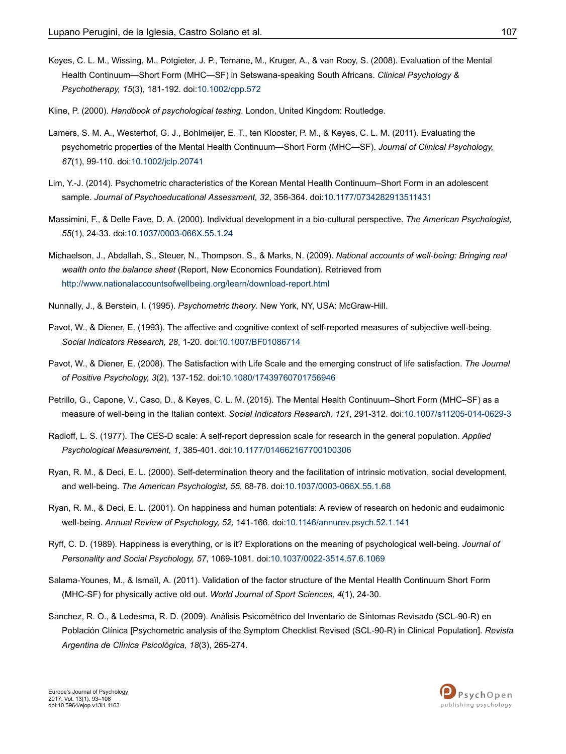- <span id="page-14-0"></span>Keyes, C. L. M., Wissing, M., Potgieter, J. P., Temane, M., Kruger, A., & van Rooy, S. (2008). Evaluation of the Mental Health Continuum—Short Form (MHC—SF) in Setswana-speaking South Africans. *Clinical Psychology & Psychotherapy, 15*(3), 181-192. doi:[10.1002/cpp.572](http://doi.org/10.1002/cpp.572)
- Kline, P. (2000). *Handbook of psychological testing*. London, United Kingdom: Routledge.
- Lamers, S. M. A., Westerhof, G. J., Bohlmeijer, E. T., ten Klooster, P. M., & Keyes, C. L. M. (2011). Evaluating the psychometric properties of the Mental Health Continuum—Short Form (MHC—SF). *Journal of Clinical Psychology, 67*(1), 99-110. doi[:10.1002/jclp.20741](http://doi.org/10.1002/jclp.20741)
- Lim, Y.-J. (2014). Psychometric characteristics of the Korean Mental Health Continuum–Short Form in an adolescent sample. *Journal of Psychoeducational Assessment, 32*, 356-364. doi:[10.1177/0734282913511431](http://doi.org/10.1177/0734282913511431)
- Massimini, F., & Delle Fave, D. A. (2000). Individual development in a bio-cultural perspective. *The American Psychologist, 55*(1), 24-33. doi:[10.1037/0003-066X.55.1.24](http://doi.org/10.1037/0003-066X.55.1.24)
- Michaelson, J., Abdallah, S., Steuer, N., Thompson, S., & Marks, N. (2009). *National accounts of well-being: Bringing real wealth onto the balance sheet* (Report, New Economics Foundation). Retrieved from <http://www.nationalaccountsofwellbeing.org/learn/download-report.html>
- Nunnally, J., & Berstein, I. (1995). *Psychometric theory*. New York, NY, USA: McGraw-Hill.
- Pavot, W., & Diener, E. (1993). The affective and cognitive context of self-reported measures of subjective well-being. *Social Indicators Research, 28*, 1-20. doi:[10.1007/BF01086714](http://doi.org/10.1007/BF01086714)
- Pavot, W., & Diener, E. (2008). The Satisfaction with Life Scale and the emerging construct of life satisfaction. *The Journal of Positive Psychology, 3*(2), 137-152. doi[:10.1080/17439760701756946](http://doi.org/10.1080/17439760701756946)
- Petrillo, G., Capone, V., Caso, D., & Keyes, C. L. M. (2015). The Mental Health Continuum–Short Form (MHC–SF) as a measure of well-being in the Italian context. *Social Indicators Research, 121*, 291-312. doi[:10.1007/s11205-014-0629-3](http://doi.org/10.1007/s11205-014-0629-3)
- Radloff, L. S. (1977). The CES-D scale: A self-report depression scale for research in the general population. *Applied Psychological Measurement, 1*, 385-401. doi[:10.1177/014662167700100306](http://doi.org/10.1177/014662167700100306)
- Ryan, R. M., & Deci, E. L. (2000). Self-determination theory and the facilitation of intrinsic motivation, social development, and well-being. *The American Psychologist, 55*, 68-78. doi:[10.1037/0003-066X.55.1.68](http://doi.org/10.1037/0003-066X.55.1.68)
- Ryan, R. M., & Deci, E. L. (2001). On happiness and human potentials: A review of research on hedonic and eudaimonic well-being. *Annual Review of Psychology, 52*, 141-166. doi[:10.1146/annurev.psych.52.1.141](http://doi.org/10.1146/annurev.psych.52.1.141)
- Ryff, C. D. (1989). Happiness is everything, or is it? Explorations on the meaning of psychological well-being. *Journal of Personality and Social Psychology, 57*, 1069-1081. doi:[10.1037/0022-3514.57.6.1069](http://doi.org/10.1037/0022-3514.57.6.1069)
- Salama-Younes, M., & Ismaïl, A. (2011). Validation of the factor structure of the Mental Health Continuum Short Form (MHC-SF) for physically active old out. *World Journal of Sport Sciences, 4*(1), 24-30.
- Sanchez, R. O., & Ledesma, R. D. (2009). Análisis Psicométrico del Inventario de Síntomas Revisado (SCL-90-R) en Población Clínica [Psychometric analysis of the Symptom Checklist Revised (SCL-90-R) in Clinical Population]. *Revista Argentina de Clínica Psicológica, 18*(3), 265-274.